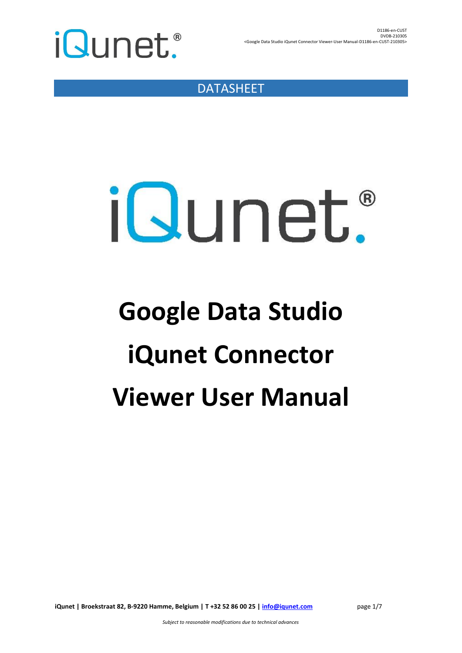

DATASHEET

# iQunet.

### **Google Data Studio iQunet Connector Viewer User Manual**

**iQunet | Broekstraat 82, B-9220 Hamme, Belgium | T +32 52 86 00 25 | [info@iqunet.com](mailto:info@iqunet.com)** page 1/7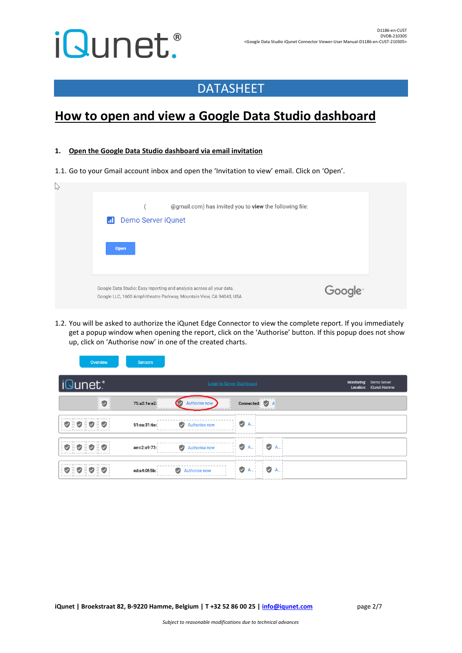### DATASHEET

### **How to open and view a Google Data Studio dashboard**

#### <span id="page-1-1"></span>**1. Open the Google Data Studio dashboard via email invitation**

Sensors

Overview

1.1. Go to your Gmail account inbox and open the 'Invitation to view' email. Click on 'Open'.

| $\sqrt{2}$ | @gmail.com) has invited you to view the following file:<br>Demo Server iQunet<br>ы<br>Open                                                   |                     |  |
|------------|----------------------------------------------------------------------------------------------------------------------------------------------|---------------------|--|
|            | Google Data Studio: Easy reporting and analysis across all your data.<br>Google LLC, 1600 Amphitheatre Parkway, Mountain View, CA 94043, USA | Google <sup>®</sup> |  |

<span id="page-1-0"></span>1.2. You will be asked to authorize the iQunet Edge Connector to view the complete report. If you immediately get a popup window when opening the report, click on the 'Authorise' button. If this popup does not show up, click on 'Authorise now' in one of the created charts.

| iQunet.                                                | <b>Login to Server Dashboard</b>                                                            | Monitoring:<br>Demo Server<br>Location: iQunet Hamme |
|--------------------------------------------------------|---------------------------------------------------------------------------------------------|------------------------------------------------------|
| production by<br>$\bullet$<br>---                      | plant of the first<br>75:a2:1e:e2:<br>Authorise now<br>Connected: A<br>h - - - - <i>- 1</i> |                                                      |
| <b>OIOIOIO</b>                                         | V<br>A<br>Authorise now<br>51:ca:31:6e:<br>Ø                                                |                                                      |
| $\bullet$ iii<br>$\cup$ K<br>$\triangledown$<br>$\vee$ | v<br>$\vee$ A.<br>ae:c2:a9:73:<br>A<br>Authorise now<br>Ø                                   |                                                      |
| VIII.<br>$\vee$<br>$\vee$                              | V<br>A<br>▽<br>$\omega$<br>A<br>ed:a4:0f:5b:<br>Authorise now                               |                                                      |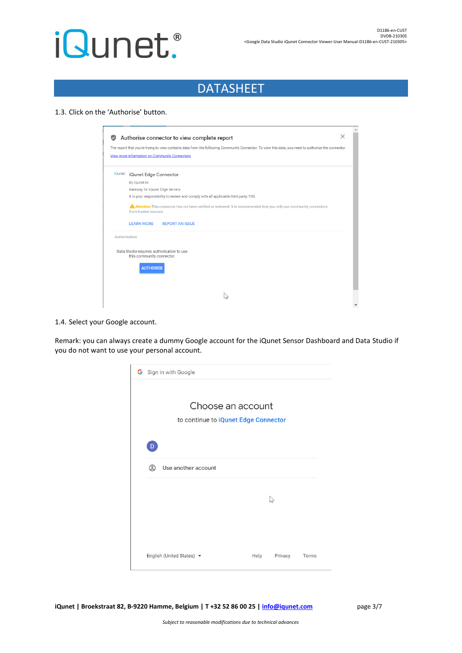### DATASHEET

#### 1.3. Click on the 'Authorise' button.

|               | Authorise connector to view complete report<br>The report that you're trying to view contains data from the following Community Connector. To view this data, you need to authorise the connector. |
|---------------|----------------------------------------------------------------------------------------------------------------------------------------------------------------------------------------------------|
|               | View more information on Community Connectors                                                                                                                                                      |
| iQunet:       | iQunet Edge Connector                                                                                                                                                                              |
|               | By iQunet bv                                                                                                                                                                                       |
|               | Gateway for iQunet Edge Servers                                                                                                                                                                    |
|               | It is your responsibility to review and comply with all applicable third party TOS.                                                                                                                |
|               | <b>A Attention:</b> This connector has not been verified or reviewed. It is recommended that you only use community connectors<br>from trusted sources.                                            |
|               | <b>LEARN MORE</b><br><b>REPORT AN ISSUE</b>                                                                                                                                                        |
| Authorisation |                                                                                                                                                                                                    |
|               |                                                                                                                                                                                                    |
|               | Data Studio requires authorisation to use<br>this community connector.                                                                                                                             |
|               | <b>AUTHORISE</b>                                                                                                                                                                                   |

#### 1.4. Select your Google account.

Remark: you can always create a dummy Google account for the iQunet Sensor Dashboard and Data Studio if you do not want to use your personal account.



**iQunet | Broekstraat 82, B-9220 Hamme, Belgium | T +32 52 86 00 25 | [info@iqunet.com](mailto:info@iqunet.com)** page 3/7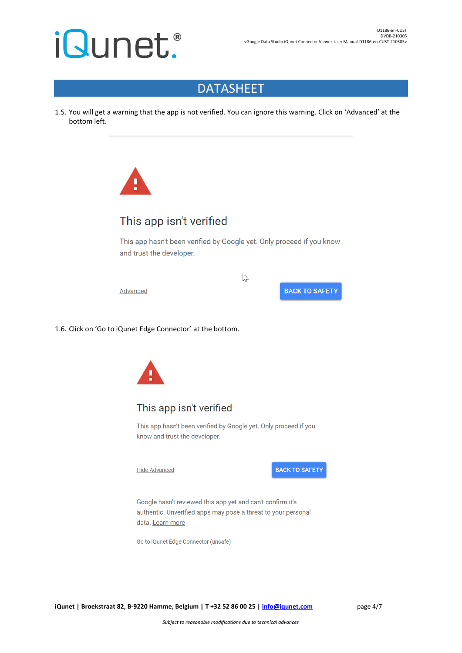#### DATASHEET

1.5. You will get a warning that the app is not verified. You can ignore this warning. Click on 'Advanced' at the bottom left.



#### This app isn't verified

This app hasn't been verified by Google yet. Only proceed if you know and trust the developer.

 $\sum$ 

Advanced

**BACK TO SAFETY** 

1.6. Click on 'Go to iQunet Edge Connector' at the bottom.

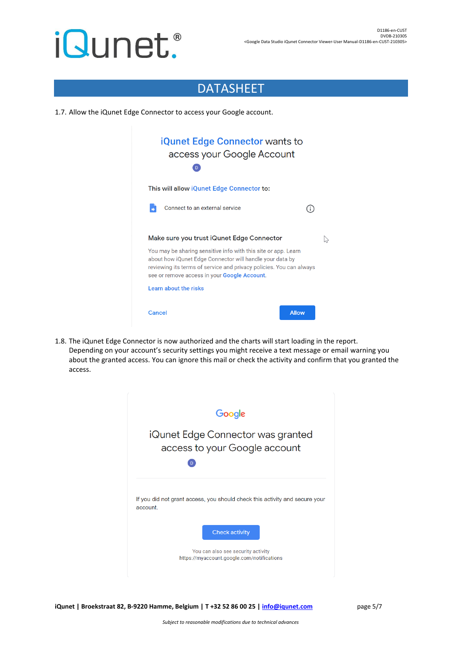#### DATASHEET

1.7. Allow the iQunet Edge Connector to access your Google account.

| <b>iQunet Edge Connector wants to</b><br>access your Google Account<br>D                                                                                                                                                                          |  |  |  |  |  |
|---------------------------------------------------------------------------------------------------------------------------------------------------------------------------------------------------------------------------------------------------|--|--|--|--|--|
| This will allow iQunet Edge Connector to:                                                                                                                                                                                                         |  |  |  |  |  |
| Connect to an external service<br>÷                                                                                                                                                                                                               |  |  |  |  |  |
| Make sure you trust iQunet Edge Connector                                                                                                                                                                                                         |  |  |  |  |  |
| You may be sharing sensitive info with this site or app. Learn<br>about how iQunet Edge Connector will handle your data by<br>reviewing its terms of service and privacy policies. You can always<br>see or remove access in your Google Account. |  |  |  |  |  |
| Learn about the risks                                                                                                                                                                                                                             |  |  |  |  |  |
| <b>Allow</b><br>Cancel                                                                                                                                                                                                                            |  |  |  |  |  |

1.8. The iQunet Edge Connector is now authorized and the charts will start loading in the report. Depending on your account's security settings you might receive a text message or email warning you about the granted access. You can ignore this mail or check the activity and confirm that you granted the access.



**iQunet | Broekstraat 82, B-9220 Hamme, Belgium | T +32 52 86 00 25 | [info@iqunet.com](mailto:info@iqunet.com)** page 5/7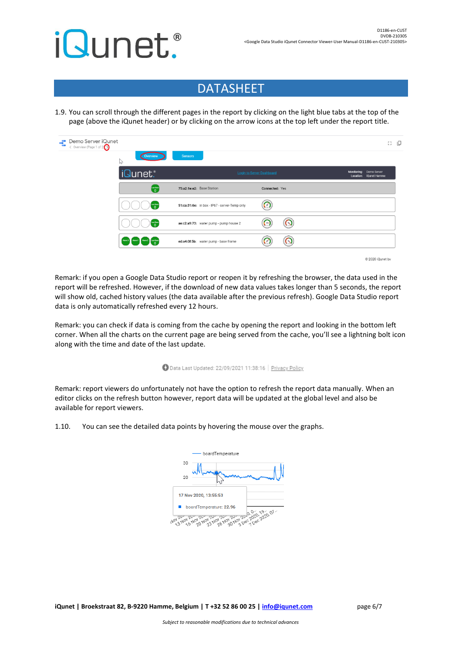### DATASHEET

1.9. You can scroll through the different pages in the report by clicking on the light blue tabs at the top of the page (above the iQunet header) or by clicking on the arrow icons at the top left under the report title.

| Demo Server iQunet<br>÷<br>◇ Overview (Page 1 of 2 | Overview<br>$\heartsuit$                | <b>Sensors</b>                                |                |                                                   |                  | Ω : |
|----------------------------------------------------|-----------------------------------------|-----------------------------------------------|----------------|---------------------------------------------------|------------------|-----|
|                                                    | iQunet.                                 | Login to Server Dashboard                     |                | Monitoring: Demo Server<br>Location: iQunet Hamme |                  |     |
|                                                    | $\begin{bmatrix} -1 \\ 0 \end{bmatrix}$ | 75:a2:1e:e2: Base Station                     | Connected: Yes |                                                   |                  |     |
|                                                    | taat See<br>∴∩                          | 51:ca:31:6e: in box - IP67 - server-Temp only |                |                                                   |                  |     |
|                                                    |                                         | ae:c2:a9:73: water pump - pump house 2        | $\Omega$<br>G  |                                                   |                  |     |
|                                                    | Alerm X Alerm Y Alerm Z Last Scon       | ed:a4:0f:5b: water pump - base frame          | $\Omega$       |                                                   |                  |     |
|                                                    |                                         |                                               |                |                                                   | @ 2020 iOungt by |     |

Remark: if you open a Google Data Studio report or reopen it by refreshing the browser, the data used in the report will be refreshed. However, if the download of new data values takes longer than 5 seconds, the report will show old, cached history values (the data available after the previous refresh). Google Data Studio report data is only automatically refreshed every 12 hours.

Remark: you can check if data is coming from the cache by opening the report and looking in the bottom left corner. When all the charts on the current page are being served from the cache, you'll see a lightning bolt icon along with the time and date of the last update.

#### Data Last Updated: 22/09/2021 11:38:16 | Privacy Policy

Remark: report viewers do unfortunately not have the option to refresh the report data manually. When an editor clicks on the refresh button however, report data will be updated at the global level and also be available for report viewers.

1.10. You can see the detailed data points by hovering the mouse over the graphs.



**iQunet | Broekstraat 82, B-9220 Hamme, Belgium | T +32 52 86 00 25 | [info@iqunet.com](mailto:info@iqunet.com)** page 6/7